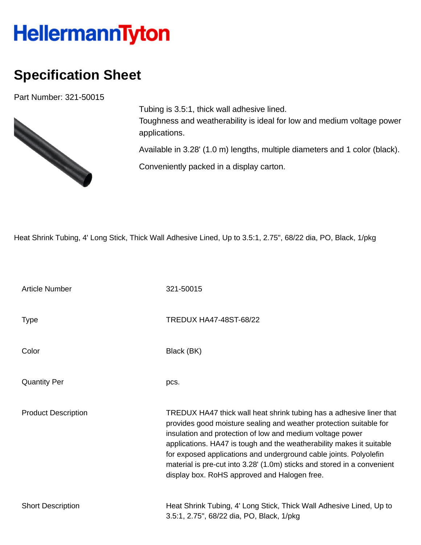## **HellermannTyton**

## **Specification Sheet**

Part Number: 321-50015



Tubing is 3.5:1, thick wall adhesive lined. Toughness and weatherability is ideal for low and medium voltage power applications.

Available in 3.28' (1.0 m) lengths, multiple diameters and 1 color (black).

Conveniently packed in a display carton.

Heat Shrink Tubing, 4' Long Stick, Thick Wall Adhesive Lined, Up to 3.5:1, 2.75", 68/22 dia, PO, Black, 1/pkg

| <b>Article Number</b>      | 321-50015                                                                                                                                                                                                                                                                                                                                                                                                                                                                      |
|----------------------------|--------------------------------------------------------------------------------------------------------------------------------------------------------------------------------------------------------------------------------------------------------------------------------------------------------------------------------------------------------------------------------------------------------------------------------------------------------------------------------|
| <b>Type</b>                | TREDUX HA47-48ST-68/22                                                                                                                                                                                                                                                                                                                                                                                                                                                         |
| Color                      | Black (BK)                                                                                                                                                                                                                                                                                                                                                                                                                                                                     |
| <b>Quantity Per</b>        | pcs.                                                                                                                                                                                                                                                                                                                                                                                                                                                                           |
| <b>Product Description</b> | TREDUX HA47 thick wall heat shrink tubing has a adhesive liner that<br>provides good moisture sealing and weather protection suitable for<br>insulation and protection of low and medium voltage power<br>applications. HA47 is tough and the weatherability makes it suitable<br>for exposed applications and underground cable joints. Polyolefin<br>material is pre-cut into 3.28' (1.0m) sticks and stored in a convenient<br>display box. RoHS approved and Halogen free. |
| <b>Short Description</b>   | Heat Shrink Tubing, 4' Long Stick, Thick Wall Adhesive Lined, Up to<br>3.5:1, 2.75", 68/22 dia, PO, Black, 1/pkg                                                                                                                                                                                                                                                                                                                                                               |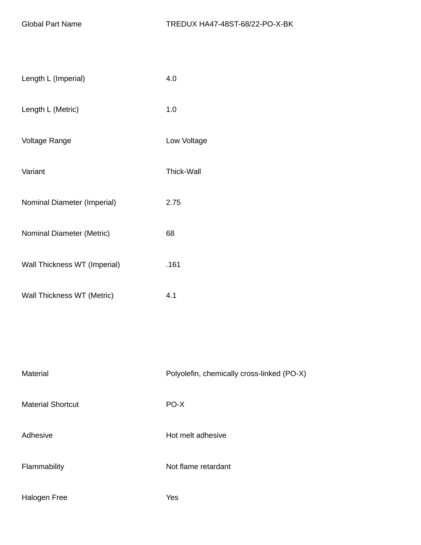| Length L (Imperial)          | 4.0                                        |
|------------------------------|--------------------------------------------|
| Length L (Metric)            | 1.0                                        |
| Voltage Range                | Low Voltage                                |
| Variant                      | Thick-Wall                                 |
| Nominal Diameter (Imperial)  | 2.75                                       |
| Nominal Diameter (Metric)    | 68                                         |
| Wall Thickness WT (Imperial) | .161                                       |
| Wall Thickness WT (Metric)   | 4.1                                        |
|                              |                                            |
|                              |                                            |
| Material                     | Polyolefin, chemically cross-linked (PO-X) |

| <b>Material Shortcut</b> |
|--------------------------|
|                          |

PO-X

Adhesive **Hot melt adhesive** 

Flammability **Not flame retardant** 

Halogen Free Yes